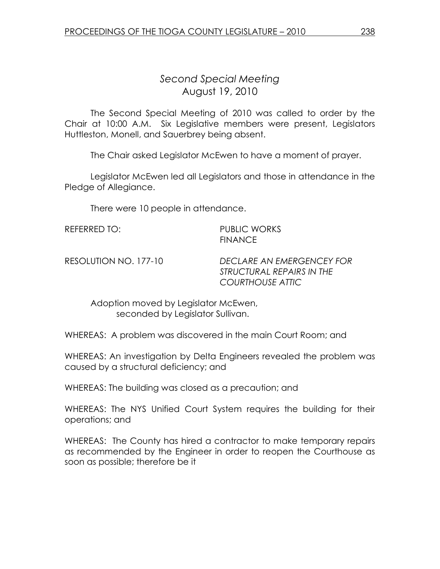## Second Special Meeting August 19, 2010

 The Second Special Meeting of 2010 was called to order by the Chair at 10:00 A.M. Six Legislative members were present, Legislators Huttleston, Monell, and Sauerbrey being absent.

The Chair asked Legislator McEwen to have a moment of prayer.

 Legislator McEwen led all Legislators and those in attendance in the Pledge of Allegiance.

There were 10 people in attendance.

REFERRED TO: PUBLIC WORKS

**FINANCE** 

RESOLUTION NO. 177-10 DECLARE AN EMERGENCEY FOR STRUCTURAL REPAIRS IN THE COURTHOUSE ATTIC

 Adoption moved by Legislator McEwen, seconded by Legislator Sullivan.

WHEREAS: A problem was discovered in the main Court Room; and

WHEREAS: An investigation by Delta Engineers revealed the problem was caused by a structural deficiency; and

WHEREAS: The building was closed as a precaution; and

WHEREAS: The NYS Unified Court System requires the building for their operations; and

WHEREAS: The County has hired a contractor to make temporary repairs as recommended by the Engineer in order to reopen the Courthouse as soon as possible; therefore be it